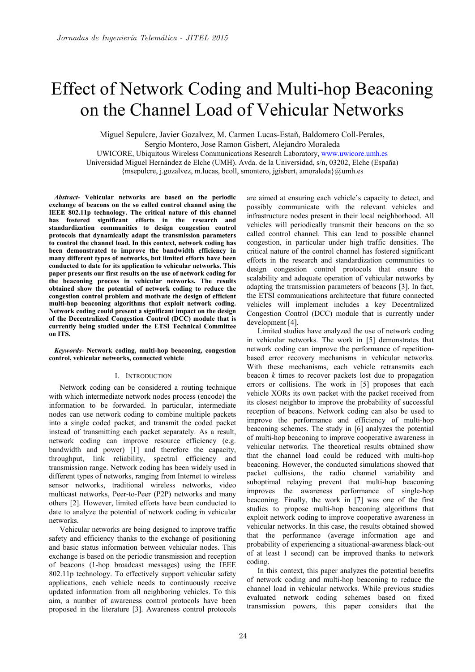# Effect of Network Coding and Multi-hop Beaconing on the Channel Load of Vehicular Networks

Miguel Sepulcre, Javier Gozalvez, M. Carmen Lucas-Estañ, Baldomero Coll-Perales, Sergio Montero, Jose Ramon Gisbert, Alejandro Moraleda UWICORE, Ubiquitous Wireless Communications Research Laboratory, www.uwicore.umh.es Universidad Miguel Hernández de Elche (UMH). Avda. de la Universidad, s/n, 03202, Elche (España)

 ${$  msepulcre, j.gozalvez, m.lucas, bcoll, smontero, jgisbert, amoraleda ${$ Qumh. es}

*Abstract***- Vehicular networks are based on the periodic exchange of beacons on the so called control channel using the IEEE 802.11p technology. The critical nature of this channel has fostered significant efforts in the research and standardization communities to design congestion control protocols that dynamically adapt the transmission parameters to control the channel load. In this context, network coding has been demonstrated to improve the bandwidth efficiency in many different types of networks, but limited efforts have been conducted to date for its application to vehicular networks. This paper presents our first results on the use of network coding for the beaconing process in vehicular networks. The results obtained show the potential of network coding to reduce the congestion control problem and motivate the design of efficient multi-hop beaconing algorithms that exploit network coding. Network coding could present a significant impact on the design of the Decentralized Congestion Control (DCC) module that is currently being studied under the ETSI Technical Committee on ITS.** 

*Keywords***- Network coding, multi-hop beaconing, congestion control, vehicular networks, connected vehicle** 

#### I. INTRODUCTION

Network coding can be considered a routing technique with which intermediate network nodes process (encode) the information to be forwarded. In particular, intermediate nodes can use network coding to combine multiple packets into a single coded packet, and transmit the coded packet instead of transmitting each packet separately. As a result, network coding can improve resource efficiency (e.g. bandwidth and power) [1] and therefore the capacity, throughput, link reliability, spectral efficiency and transmission range. Network coding has been widely used in different types of networks, ranging from Internet to wireless sensor networks, traditional wireless networks, video multicast networks, Peer-to-Peer (P2P) networks and many others [2]. However, limited efforts have been conducted to date to analyze the potential of network coding in vehicular networks.

Vehicular networks are being designed to improve traffic safety and efficiency thanks to the exchange of positioning and basic status information between vehicular nodes. This exchange is based on the periodic transmission and reception of beacons (1-hop broadcast messages) using the IEEE 802.11p technology. To effectively support vehicular safety applications, each vehicle needs to continuously receive updated information from all neighboring vehicles. To this aim, a number of awareness control protocols have been proposed in the literature [3]. Awareness control protocols are aimed at ensuring each vehicle's capacity to detect, and possibly communicate with the relevant vehicles and infrastructure nodes present in their local neighborhood. All vehicles will periodically transmit their beacons on the so called control channel. This can lead to possible channel congestion, in particular under high traffic densities. The critical nature of the control channel has fostered significant efforts in the research and standardization communities to design congestion control protocols that ensure the scalability and adequate operation of vehicular networks by adapting the transmission parameters of beacons [3]. In fact, the ETSI communications architecture that future connected vehicles will implement includes a key Decentralized Congestion Control (DCC) module that is currently under development [4].

Limited studies have analyzed the use of network coding in vehicular networks. The work in [5] demonstrates that network coding can improve the performance of repetitionbased error recovery mechanisms in vehicular networks. With these mechanisms, each vehicle retransmits each beacon *k* times to recover packets lost due to propagation errors or collisions. The work in [5] proposes that each vehicle XORs its own packet with the packet received from its closest neighbor to improve the probability of successful reception of beacons. Network coding can also be used to improve the performance and efficiency of multi-hop beaconing schemes. The study in [6] analyzes the potential of multi-hop beaconing to improve cooperative awareness in vehicular networks. The theoretical results obtained show that the channel load could be reduced with multi-hop beaconing. However, the conducted simulations showed that packet collisions, the radio channel variability and suboptimal relaying prevent that multi-hop beaconing improves the awareness performance of single-hop beaconing. Finally, the work in [7] was one of the first studies to propose multi-hop beaconing algorithms that exploit network coding to improve cooperative awareness in vehicular networks. In this case, the results obtained showed that the performance (average information age and probability of experiencing a situational-awareness black-out of at least 1 second) can be improved thanks to network coding.

In this context, this paper analyzes the potential benefits of network coding and multi-hop beaconing to reduce the channel load in vehicular networks. While previous studies evaluated network coding schemes based on fixed transmission powers, this paper considers that the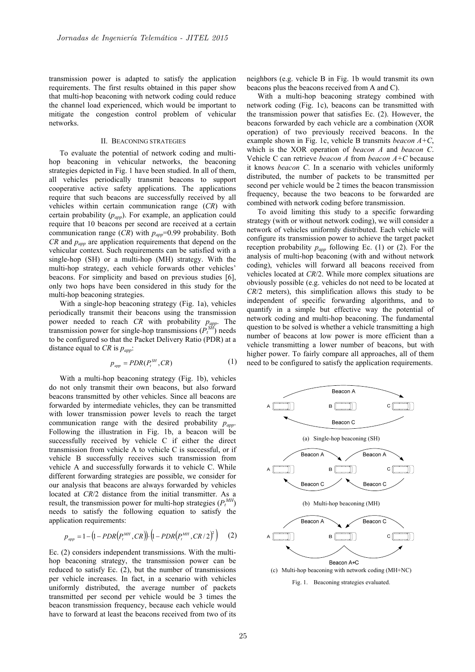transmission power is adapted to satisfy the application requirements. The first results obtained in this paper show that multi-hop beaconing with network coding could reduce the channel load experienced, which would be important to mitigate the congestion control problem of vehicular networks.

### II. BEACONING STRATEGIES

To evaluate the potential of network coding and multihop beaconing in vehicular networks, the beaconing strategies depicted in Fig. 1 have been studied. In all of them, all vehicles periodically transmit beacons to support cooperative active safety applications. The applications require that such beacons are successfully received by all vehicles within certain communication range (*CR*) with certain probability (*papp*). For example, an application could require that 10 beacons per second are received at a certain communication range  $(CR)$  with  $p_{app}$ =0.99 probability. Both *CR* and  $p_{amp}$  are application requirements that depend on the vehicular context. Such requirements can be satisfied with a single-hop (SH) or a multi-hop (MH) strategy. With the multi-hop strategy, each vehicle forwards other vehicles' beacons. For simplicity and based on previous studies [6], only two hops have been considered in this study for the multi-hop beaconing strategies.

With a single-hop beaconing strategy (Fig. 1a), vehicles periodically transmit their beacons using the transmission power needed to reach *CR* with probability *papp*. The transmission power for single-hop transmissions  $(P_t^{\text{SH}})$  needs to be configured so that the Packet Delivery Ratio (PDR) at a distance equal to  $CR$  is  $p_{app}$ .

$$
p_{app} = PDR(P_t^{SH}, CR) \tag{1}
$$

With a multi-hop beaconing strategy (Fig. 1b), vehicles do not only transmit their own beacons, but also forward beacons transmitted by other vehicles. Since all beacons are forwarded by intermediate vehicles, they can be transmitted with lower transmission power levels to reach the target communication range with the desired probability *papp*. Following the illustration in Fig. 1b, a beacon will be successfully received by vehicle C if either the direct transmission from vehicle A to vehicle C is successful, or if vehicle B successfully receives such transmission from vehicle A and successfully forwards it to vehicle C. While different forwarding strategies are possible, we consider for our analysis that beacons are always forwarded by vehicles located at *CR*/2 distance from the initial transmitter. As a result, the transmission power for multi-hop strategies  $(P_t^{MH})$ needs to satisfy the following equation to satisfy the application requirements:

$$
p_{_{app}} = 1 - (1 - PDR(P_t^{_{MH}}, CR)) \cdot (1 - PDR(P_t^{_{MH}}, CR / 2)^2) \tag{2}
$$

Ec. (2) considers independent transmissions. With the multihop beaconing strategy, the transmission power can be reduced to satisfy Ec. (2), but the number of transmissions per vehicle increases. In fact, in a scenario with vehicles uniformly distributed, the average number of packets transmitted per second per vehicle would be 3 times the beacon transmission frequency, because each vehicle would have to forward at least the beacons received from two of its

neighbors (e.g. vehicle B in Fig. 1b would transmit its own beacons plus the beacons received from A and C).

With a multi-hop beaconing strategy combined with network coding (Fig. 1c), beacons can be transmitted with the transmission power that satisfies Ec. (2). However, the beacons forwarded by each vehicle are a combination (XOR operation) of two previously received beacons. In the example shown in Fig. 1c, vehicle B transmits *beacon A+C*, which is the XOR operation of *beacon A* and *beacon C*. Vehicle C can retrieve *beacon A* from *beacon A+C* because it knows *beacon C*. In a scenario with vehicles uniformly distributed, the number of packets to be transmitted per second per vehicle would be 2 times the beacon transmission frequency, because the two beacons to be forwarded are combined with network coding before transmission.

To avoid limiting this study to a specific forwarding strategy (with or without network coding), we will consider a network of vehicles uniformly distributed. Each vehicle will configure its transmission power to achieve the target packet reception probability  $p_{app}$  following Ec. (1) or (2). For the analysis of multi-hop beaconing (with and without network coding), vehicles will forward all beacons received from vehicles located at *CR*/2. While more complex situations are obviously possible (e.g. vehicles do not need to be located at *CR*/2 meters), this simplification allows this study to be independent of specific forwarding algorithms, and to quantify in a simple but effective way the potential of network coding and multi-hop beaconing. The fundamental question to be solved is whether a vehicle transmitting a high number of beacons at low power is more efficient than a vehicle transmitting a lower number of beacons, but with higher power. To fairly compare all approaches, all of them need to be configured to satisfy the application requirements.

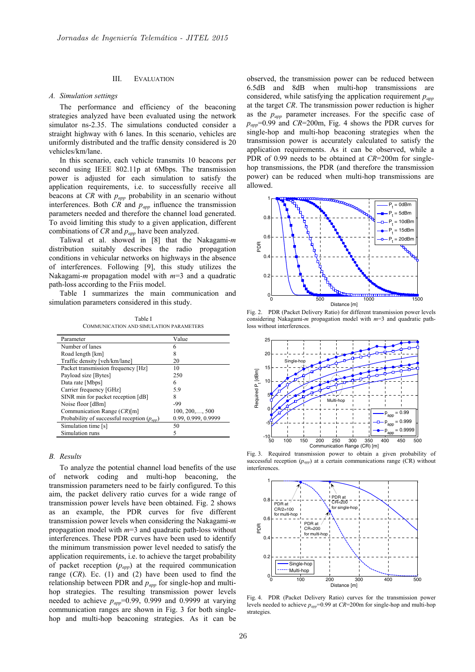# III. EVALUATION

#### *A. Simulation settings*

The performance and efficiency of the beaconing strategies analyzed have been evaluated using the network simulator ns-2.35. The simulations conducted consider a straight highway with 6 lanes. In this scenario, vehicles are uniformly distributed and the traffic density considered is 20 vehicles/km/lane.

In this scenario, each vehicle transmits 10 beacons per second using IEEE 802.11p at 6Mbps. The transmission power is adjusted for each simulation to satisfy the application requirements, i.e. to successfully receive all beacons at *CR* with *papp* probability in an scenario without interferences. Both *CR* and *papp* influence the transmission parameters needed and therefore the channel load generated. To avoid limiting this study to a given application, different combinations of *CR* and *papp* have been analyzed.

Taliwal et al. showed in [8] that the Nakagami-*m* distribution suitably describes the radio propagation conditions in vehicular networks on highways in the absence of interferences. Following [9], this study utilizes the Nakagami-*m* propagation model with *m*=3 and a quadratic path-loss according to the Friis model.

Table I summarizes the main communication and simulation parameters considered in this study.

Table I COMMUNICATION AND SIMULATION PARAMETERS

| Parameter                                              | Value                   |
|--------------------------------------------------------|-------------------------|
| Number of lanes                                        | 6                       |
| Road length [km]                                       | 8                       |
| Traffic density [veh/km/lane]                          | 20                      |
| Packet transmission frequency [Hz]                     | 10                      |
| Payload size [Bytes]                                   | 250                     |
| Data rate [Mbps]                                       | 6                       |
| Carrier frequency [GHz]                                | 5.9                     |
| SINR min for packet reception [dB]                     | 8                       |
| Noise floor [dBm]                                      | -99                     |
| Communication Range $(CR)[m]$                          | $100, 200, \ldots, 500$ |
| Probability of successful reception $(p_{\text{ann}})$ | 0.99, 0.999, 0.9999     |
| Simulation time [s]                                    | 50                      |
| Simulation runs                                        | 5                       |

#### *B. Results*

To analyze the potential channel load benefits of the use of network coding and multi-hop beaconing, the transmission parameters need to be fairly configured. To this aim, the packet delivery ratio curves for a wide range of transmission power levels have been obtained. Fig. 2 shows as an example, the PDR curves for five different transmission power levels when considering the Nakagami-*m* propagation model with *m*=3 and quadratic path-loss without interferences. These PDR curves have been used to identify the minimum transmission power level needed to satisfy the application requirements, i.e. to achieve the target probability of packet reception (*papp*) at the required communication range (*CR*). Ec. (1) and (2) have been used to find the relationship between PDR and  $p_{app}$  for single-hop and multihop strategies. The resulting transmission power levels needed to achieve  $p_{app}$ =0.99, 0.999 and 0.9999 at varying communication ranges are shown in Fig. 3 for both singlehop and multi-hop beaconing strategies. As it can be

observed, the transmission power can be reduced between 6.5dB and 8dB when multi-hop transmissions are considered, while satisfying the application requirement *papp* at the target *CR*. The transmission power reduction is higher as the *papp* parameter increases. For the specific case of  $p_{app}$ =0.99 and *CR*=200m, Fig. 4 shows the PDR curves for single-hop and multi-hop beaconing strategies when the transmission power is accurately calculated to satisfy the application requirements. As it can be observed, while a PDR of 0.99 needs to be obtained at *CR*=200m for singlehop transmissions, the PDR (and therefore the transmission power) can be reduced when multi-hop transmissions are allowed.



Fig. 2. PDR (Packet Delivery Ratio) for different transmission power levels considering Nakagami-*m* propagation model with *m*=3 and quadratic pathloss without interferences



Fig. 3. Required transmission power to obtain a given probability of successful reception  $(p_{app})$  at a certain communications range  $(CR)$  without interferences.



Fig. 4. PDR (Packet Delivery Ratio) curves for the transmission power levels needed to achieve *papp*=0.99 at *CR*=200m for single-hop and multi-hop strategies.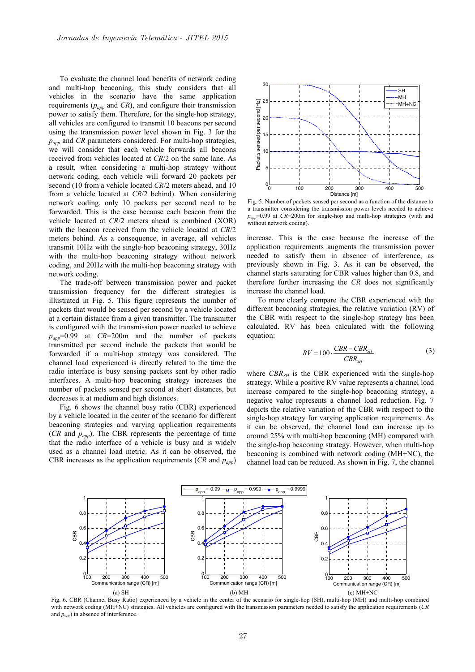To evaluate the channel load benefits of network coding and multi-hop beaconing, this study considers that all vehicles in the scenario have the same application requirements (*papp* and *CR*), and configure their transmission power to satisfy them. Therefore, for the single-hop strategy, all vehicles are configured to transmit 10 beacons per second using the transmission power level shown in Fig. 3 for the *papp* and *CR* parameters considered. For multi-hop strategies, we will consider that each vehicle forwards all beacons received from vehicles located at *CR*/2 on the same lane. As a result, when considering a multi-hop strategy without network coding, each vehicle will forward 20 packets per second (10 from a vehicle located *CR*/2 meters ahead, and 10 from a vehicle located at *CR*/2 behind). When considering network coding, only 10 packets per second need to be forwarded. This is the case because each beacon from the vehicle located at *CR*/2 meters ahead is combined (XOR) with the beacon received from the vehicle located at *CR*/2 meters behind. As a consequence, in average, all vehicles transmit 10Hz with the single-hop beaconing strategy, 30Hz with the multi-hop beaconing strategy without network coding, and 20Hz with the multi-hop beaconing strategy with network coding.

The trade-off between transmission power and packet transmission frequency for the different strategies is illustrated in Fig. 5. This figure represents the number of packets that would be sensed per second by a vehicle located at a certain distance from a given transmitter. The transmitter is configured with the transmission power needed to achieve *papp*=0.99 at *CR*=200m and the number of packets transmitted per second include the packets that would be forwarded if a multi-hop strategy was considered. The channel load experienced is directly related to the time the radio interface is busy sensing packets sent by other radio interfaces. A multi-hop beaconing strategy increases the number of packets sensed per second at short distances, but decreases it at medium and high distances.

Fig. 6 shows the channel busy ratio (CBR) experienced by a vehicle located in the center of the scenario for different beaconing strategies and varying application requirements  $(CR \text{ and } p_{amp})$ . The CBR represents the percentage of time that the radio interface of a vehicle is busy and is widely used as a channel load metric. As it can be observed, the CBR increases as the application requirements (*CR* and *papp*)



Fig. 5. Number of packets sensed per second as a function of the distance to a transmitter considering the transmission power levels needed to achieve  $p_{\text{arm}}$ =0.99 at *CR*=200m for single-hop and multi-hop strategies (with and without network coding).

increase. This is the case because the increase of the application requirements augments the transmission power needed to satisfy them in absence of interference, as previously shown in Fig. 3. As it can be observed, the channel starts saturating for CBR values higher than 0.8, and therefore further increasing the *CR* does not significantly increase the channel load.

To more clearly compare the CBR experienced with the different beaconing strategies, the relative variation (RV) of the CBR with respect to the single-hop strategy has been calculated. RV has been calculated with the following equation:

$$
RV = 100 \cdot \frac{CBR - CBR_{SH}}{CBR_{SH}} \tag{3}
$$

where *CBR<sub>SH</sub>* is the CBR experienced with the single-hop strategy. While a positive RV value represents a channel load increase compared to the single-hop beaconing strategy, a negative value represents a channel load reduction. Fig. 7 depicts the relative variation of the CBR with respect to the single-hop strategy for varying application requirements. As it can be observed, the channel load can increase up to around 25% with multi-hop beaconing (MH) compared with the single-hop beaconing strategy. However, when multi-hop beaconing is combined with network coding (MH+NC), the channel load can be reduced. As shown in Fig. 7, the channel



Fig. 6. CBR (Channel Busy Ratio) experienced by a vehicle in the center of the scenario for single-hop (SH), multi-hop (MH) and multi-hop combined with network coding (MH+NC) strategies. All vehicles are configured with the transmission parameters needed to satisfy the application requirements (*CR* and *papp*) in absence of interference.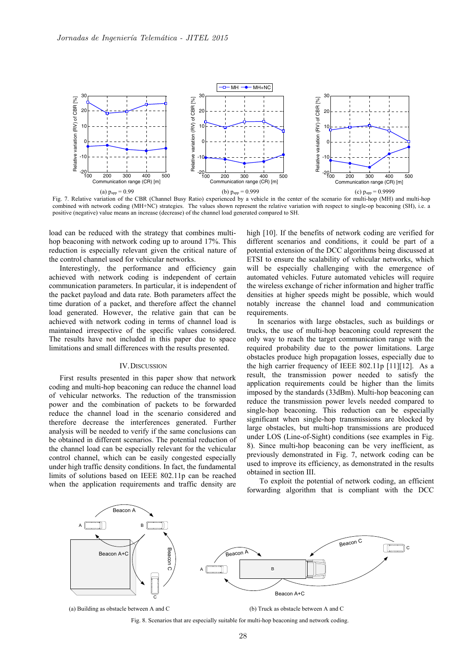

Fig. 7. Relative variation of the CBR (Channel Busy Ratio) experienced by a vehicle in the center of the scenario for multi-hop (MH) and multi-hop combined with network coding (MH+NC) strategies. The values shown represent the relative variation with respect to single-op beaconing (SH), i.e. a positive (negative) value means an increase (decrease) of the channel load generated compared to SH.

load can be reduced with the strategy that combines multihop beaconing with network coding up to around 17%. This reduction is especially relevant given the critical nature of the control channel used for vehicular networks.

Interestingly, the performance and efficiency gain achieved with network coding is independent of certain communication parameters. In particular, it is independent of the packet payload and data rate. Both parameters affect the time duration of a packet, and therefore affect the channel load generated. However, the relative gain that can be achieved with network coding in terms of channel load is maintained irrespective of the specific values considered. The results have not included in this paper due to space limitations and small differences with the results presented.

# IV.DISCUSSION

First results presented in this paper show that network coding and multi-hop beaconing can reduce the channel load of vehicular networks. The reduction of the transmission power and the combination of packets to be forwarded reduce the channel load in the scenario considered and therefore decrease the interferences generated. Further analysis will be needed to verify if the same conclusions can be obtained in different scenarios. The potential reduction of the channel load can be especially relevant for the vehicular control channel, which can be easily congested especially under high traffic density conditions. In fact, the fundamental limits of solutions based on IEEE 802.11p can be reached when the application requirements and traffic density are

high [10]. If the benefits of network coding are verified for different scenarios and conditions, it could be part of a potential extension of the DCC algorithms being discussed at ETSI to ensure the scalability of vehicular networks, which will be especially challenging with the emergence of automated vehicles. Future automated vehicles will require the wireless exchange of richer information and higher traffic densities at higher speeds might be possible, which would notably increase the channel load and communication requirements.

In scenarios with large obstacles, such as buildings or trucks, the use of multi-hop beaconing could represent the only way to reach the target communication range with the required probability due to the power limitations. Large obstacles produce high propagation losses, especially due to the high carrier frequency of IEEE 802.11p [11][12]. As a result, the transmission power needed to satisfy the application requirements could be higher than the limits imposed by the standards (33dBm). Multi-hop beaconing can reduce the transmission power levels needed compared to single-hop beaconing. This reduction can be especially significant when single-hop transmissions are blocked by large obstacles, but multi-hop transmissions are produced under LOS (Line-of-Sight) conditions (see examples in Fig. 8). Since multi-hop beaconing can be very inefficient, as previously demonstrated in Fig. 7, network coding can be used to improve its efficiency, as demonstrated in the results obtained in section III.

 To exploit the potential of network coding, an efficient forwarding algorithm that is compliant with the DCC